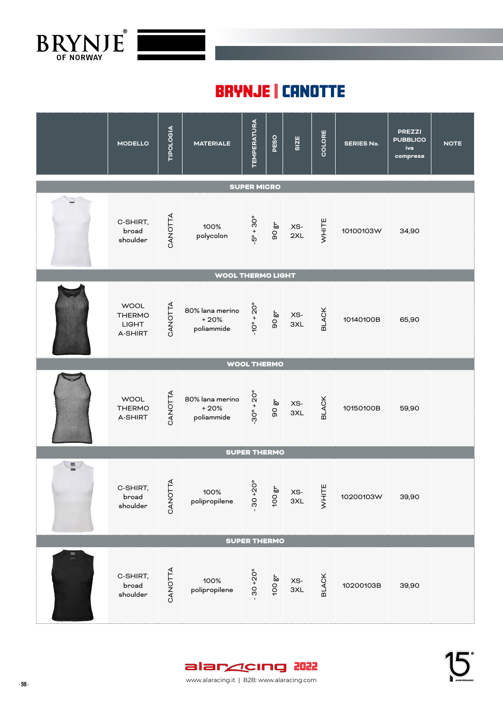

## BRYNJE | CANOTTE

|                    | <b>MODELLO</b>                                          | <b>TIPOLOGIA</b> | <b>MATERIALE</b>                        | <b>TEMPERATURA</b>         | PESO                               | SIZE                         | COLORE       | <b>SERIES No.</b> | <b>PREZZI</b><br><b>PUBBLICO</b><br>iva<br>compresa | <b>NOTE</b> |  |  |
|--------------------|---------------------------------------------------------|------------------|-----------------------------------------|----------------------------|------------------------------------|------------------------------|--------------|-------------------|-----------------------------------------------------|-------------|--|--|
|                    | <b>SUPER MICRO</b>                                      |                  |                                         |                            |                                    |                              |              |                   |                                                     |             |  |  |
|                    | C-SHIRT,<br>broad<br>shoulder                           | CANOTTA          | 100%<br>polycolon                       |                            | $-5^{\circ} + 30^{\circ}$<br>90 gr | XS-<br>2XL                   | WHITE        | 10100103W         | 34,90                                               |             |  |  |
|                    |                                                         |                  | <b>WOOL THERMO LIGHT</b>                |                            |                                    |                              |              |                   |                                                     |             |  |  |
|                    | <b>WOOL</b><br><b>THERMO</b><br><b>LIGHT</b><br>A-SHIRT | CANOTTA          | 80% lana merino<br>$+20%$<br>poliammide | $-10^{\circ} + 20^{\circ}$ | 90 gr                              | XS-<br>3XL                   | <b>BLACK</b> | 10140100B         | 65,90                                               |             |  |  |
| <b>WOOL THERMO</b> |                                                         |                  |                                         |                            |                                    |                              |              |                   |                                                     |             |  |  |
|                    | <b>WOOL</b><br><b>THERMO</b><br>A-SHIRT                 | ANOTTA           | 80% lana merino<br>$+20%$<br>poliammide | $-30^{\circ} + 20^{\circ}$ | 90 gr                              | XS-<br>3XL                   | <b>BLACK</b> | 10150100B         | 59,90                                               |             |  |  |
|                    |                                                         |                  |                                         | <b>SUPER THERMO</b>        |                                    |                              |              |                   |                                                     |             |  |  |
| $\overline{a}$     | C-SHIRT,<br>broad<br>shoulder                           | CANOTTA          | 100%<br>polipropilene                   | $30 + 20^{\circ}$          | 100 gr                             | XS-<br>3XL                   | WHITE        | 10200103W         | 39,90                                               |             |  |  |
|                    |                                                         |                  |                                         | <b>SUPER THERMO</b>        |                                    |                              |              |                   |                                                     |             |  |  |
| ▬                  | C-SHIRT,<br>broad<br>shoulder                           | CANOTTA          | 100%<br>polipropilene                   | $30 + 20^{\circ}$          | 100 gr                             | $\times \mathbf{S}$ -<br>3XL | <b>BLACK</b> | 10200103B         | 39,90                                               |             |  |  |

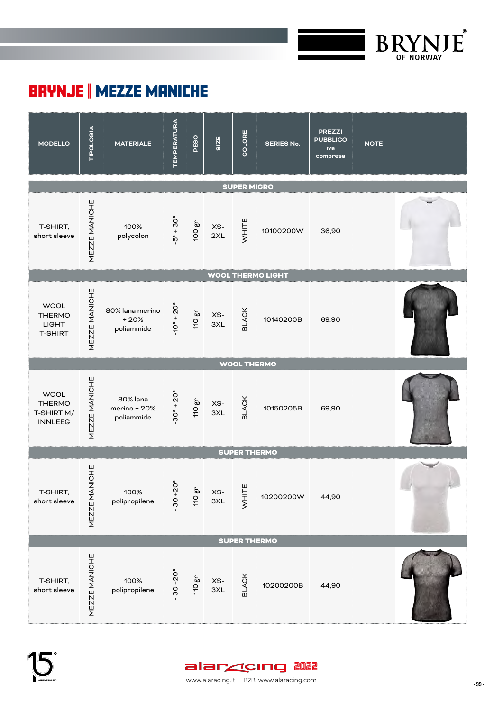

## BRYNJE | MEZZE MANICHE



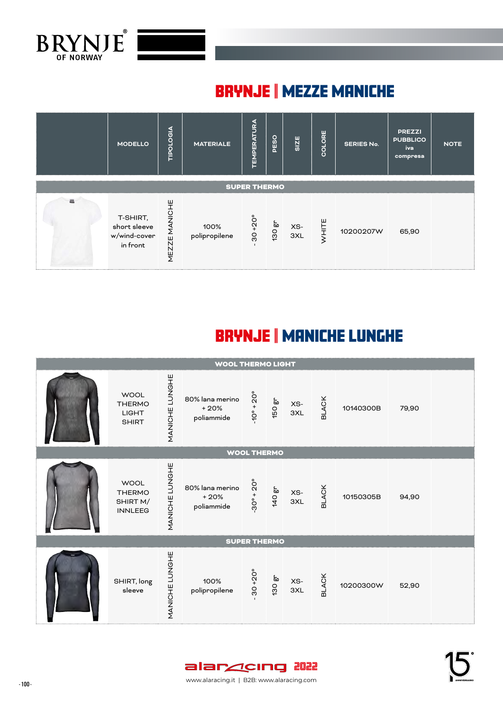

## BRYNJE | MEZZE MANICHE



# BRYNJE | MANICHE LUNGHE



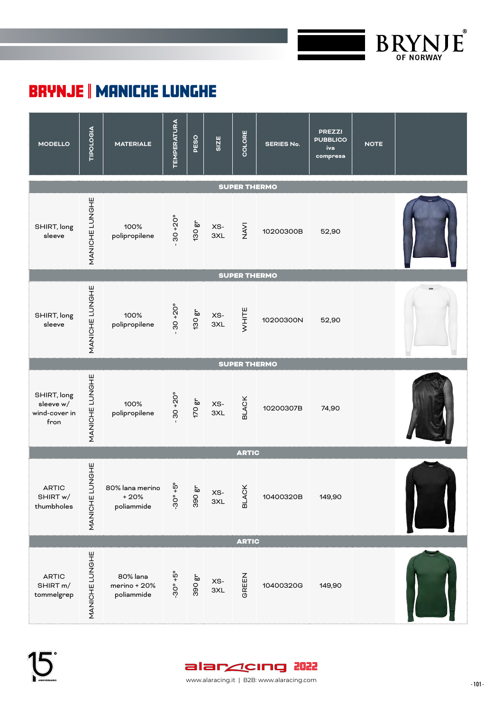

## BRYNJE | MANICHE LUNGHE



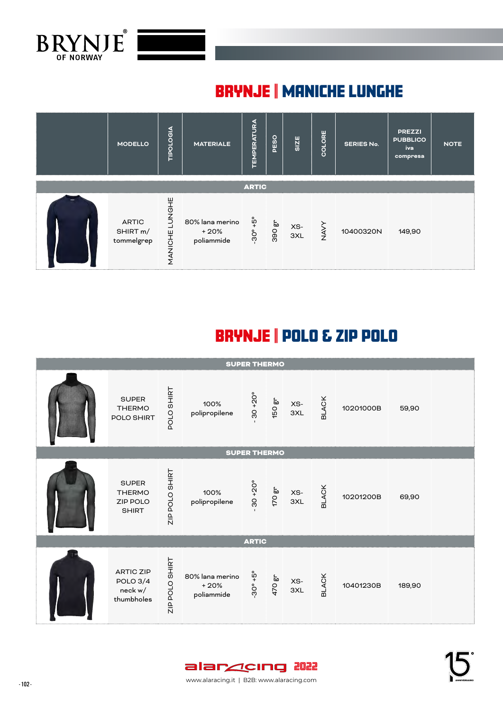

## BRYNJE | MANICHE LUNGHE



# BRYNJE | POLO & ZIP POLO

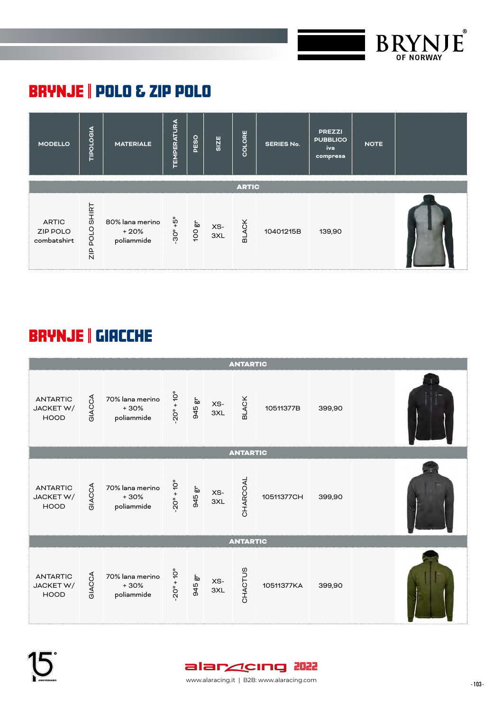

## BRYNJE | POLO & ZIP POLO



# BRYNJE | GIACCHE



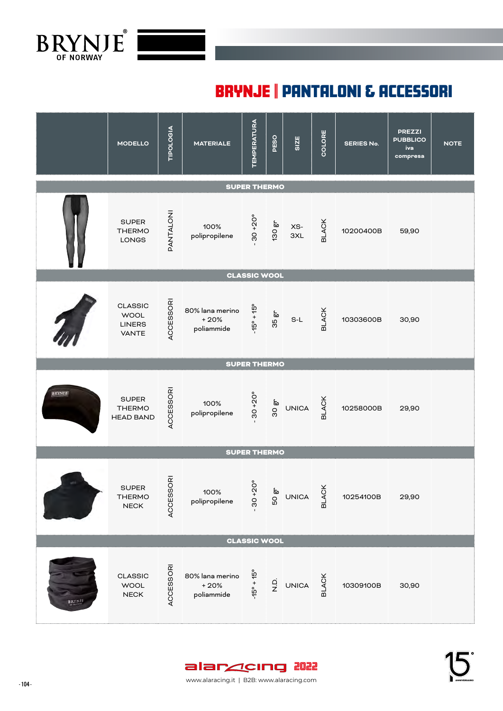

Tuta intera, collo alto, maniche lunghe con presa pollice�Gambe lunghe, zip frontale bidirezionale e apertura su fondo schiena�Questa è la versione più leggera della tuta intera Arctic, Può essere abbinata MATERIALE: 80 % Lana Merino

Tuta intera, collo alto, maniche lunghe con presa pollice�Gambe lunghe, zip frontale bidirezionale e apertura su fondo schiena�Questa è la versione più leggera della tuta intera Arctic, Può essere abbinata MATERIALE: 80 % Lana Merino

## BRYNJE | PANTALONI & ACCESSORI

|               | <b>MODELLO</b>                                          | TIPOLOGIA                       | <b>MATERIALE</b>                        | <b>TEMPERATURA</b>         | PESO                | SIZE         | COLORE                | <b>SERIES No.</b> | <b>PREZZI</b><br><b>PUBBLICO</b><br>iva<br>compresa | <b>NOTE</b> |
|---------------|---------------------------------------------------------|---------------------------------|-----------------------------------------|----------------------------|---------------------|--------------|-----------------------|-------------------|-----------------------------------------------------|-------------|
|               |                                                         |                                 |                                         | <b>SUPER THERMO</b>        |                     |              |                       |                   |                                                     |             |
|               | <b>SUPER</b><br><b>THERMO</b><br>LONGS                  | PANTALONI                       | 100%<br>polipropilene                   | $30 + 20^{\circ}$          | 130 gr              | XS-<br>3XL   | <b>BLACK</b>          | 10200400B         | 59,90                                               |             |
|               |                                                         |                                 |                                         | <b>CLASSIC WOOL</b>        |                     |              |                       |                   |                                                     |             |
|               | <b>CLASSIC</b><br><b>WOOL</b><br><b>LINERS</b><br>VANTE | ACCESSORI                       | 80% lana merino<br>$+20%$<br>poliammide | $-15^{\circ} + 15^{\circ}$ | 35 gr               | $S-L$        | <b>BLACK</b>          | 10303600B         | 30,90                                               |             |
|               |                                                         |                                 |                                         | <b>SUPER THERMO</b>        |                     |              |                       |                   |                                                     |             |
| BRYNIE        | <b>SUPER</b><br><b>THERMO</b><br><b>HEAD BAND</b>       | <b>ACCESSORI</b>                | 100%<br>polipropilene                   | $30 + 20^{\circ}$          | 30 gr               | UNICA        | <b>BLACK</b>          | 10258000B         | 29,90                                               |             |
|               |                                                         |                                 |                                         | <b>SUPER THERMO</b>        |                     |              |                       |                   |                                                     |             |
|               | <b>SUPER</b><br>THERMO<br>${\sf NECK}$                  | $\overline{a}$<br><b>ACCESS</b> | 100%<br>polipropilene                   | $30 + 20^{\circ}$          | 50 gr               | <b>UNICA</b> | $\geq$<br><b>BLAC</b> | 10254100B         | 29,90                                               |             |
|               |                                                         |                                 |                                         | <b>CLASSIC WOOL</b>        |                     |              |                       |                   |                                                     |             |
| <b>BRYNJE</b> | CLASSIC<br><b>WOOL</b><br>NECK                          | <b>ACCESSOR</b>                 | 80% lana merino<br>$+20%$<br>poliammide | $-15^{\circ} + 15^{\circ}$ | $\frac{\dot{q}}{z}$ | <b>UNICA</b> | <b>BLACK</b>          | 10309100B         | 30,90                                               |             |

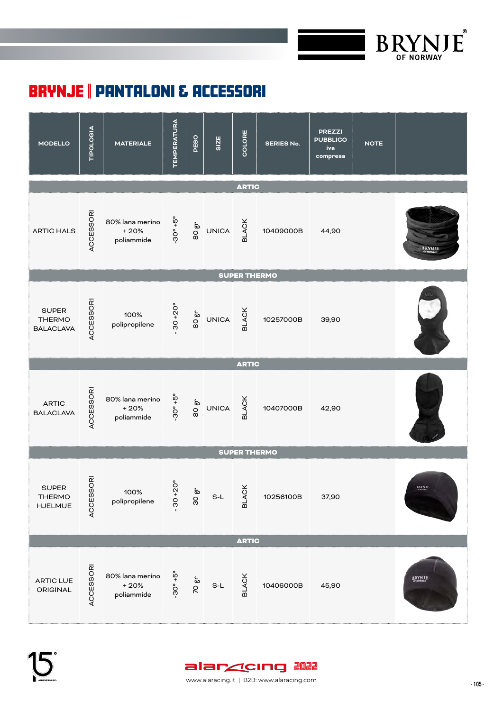

## BRYNJE | PANTALONI & ACCESSORI



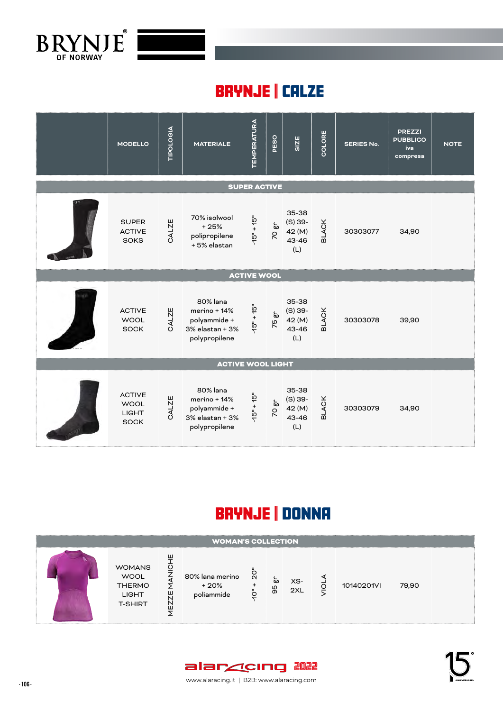

RETE INTERNA

#### BRYNJE || CALZE Calzino lungo con rete, 100% sintetico asciuga rapidamente, isola in modo ottimale�

PESO MATERIALE: 200 g/m2 (esterno) ART NR: 10255000 PREZZO: € 32,90

|                | <b>MODELLO</b>                                              | TIPOLOGIA | <b>MATERIALE</b>                                                             | <b>TEMPERATURA</b>         | PESO  | <b>SIZE</b>                                      | COLORE       | <b>SERIES No.</b> | <b>PREZZI</b><br><b>PUBBLICO</b><br>iva<br>compresa | <b>NOTE</b> |
|----------------|-------------------------------------------------------------|-----------|------------------------------------------------------------------------------|----------------------------|-------|--------------------------------------------------|--------------|-------------------|-----------------------------------------------------|-------------|
|                |                                                             |           |                                                                              | <b>SUPER ACTIVE</b>        |       |                                                  |              |                   |                                                     |             |
|                | <b>SUPER</b><br><b>ACTIVE</b><br><b>SOKS</b>                | CALZE     | 70% isolwool<br>$+25%$<br>polipropilene<br>+5% elastan                       | $-15^{\circ} + 15^{\circ}$ | 70 gr | 35-38<br>$(S)$ 39-<br>42 (M)<br>43-46<br>(L)     | <b>BLACK</b> | 30303077          | 34,90                                               |             |
|                |                                                             |           |                                                                              | <b>ACTIVE WOOL</b>         |       |                                                  |              |                   |                                                     |             |
|                | <b>ACTIVE</b><br><b>WOOL</b><br><b>SOCK</b>                 | CALZE     | 80% lana<br>merino + 14%<br>polyammide +<br>3% elastan + 3%<br>polypropilene | $-45^{\circ} + 15^{\circ}$ | 75 gr | $35 - 38$<br>$(S)$ 39-<br>42 (M)<br>43-46<br>(L) | <b>BLACK</b> | 30303078          | 39,90                                               |             |
|                |                                                             |           | <b>ACTIVE WOOL LIGHT</b>                                                     |                            |       |                                                  |              |                   |                                                     |             |
| <b>Comment</b> | <b>ACTIVE</b><br><b>WOOL</b><br><b>LIGHT</b><br><b>SOCK</b> | CALZE     | 80% lana<br>merino + 14%<br>polyammide +<br>3% elastan + 3%<br>polypropilene | $-15^{\circ} + 15^{\circ}$ | 70 gr | 35-38<br>$(S)$ 39-<br>42 (M)<br>43-46<br>(L)     | <b>BLACK</b> | 30303079          | 34,90                                               |             |

## BRYNJE | DONNA

| <b>WOMAN'S COLLECTION</b> |                                                                                                                      |                                         |                      |         |            |  |            |       |  |  |  |
|---------------------------|----------------------------------------------------------------------------------------------------------------------|-----------------------------------------|----------------------|---------|------------|--|------------|-------|--|--|--|
|                           | ш<br>$\frac{0}{Z}$<br><b>WOMANS</b><br><b>WOOL</b><br><b>THERMO</b><br>ш<br><b>LIGHT</b><br><b>T-SHIRT</b><br>N<br>ш | 80% lana merino<br>$+20%$<br>poliammide | $\tilde{\mathbf{N}}$ | ᇷ<br>99 | XS-<br>2XL |  | 10140201VI | 79,90 |  |  |  |



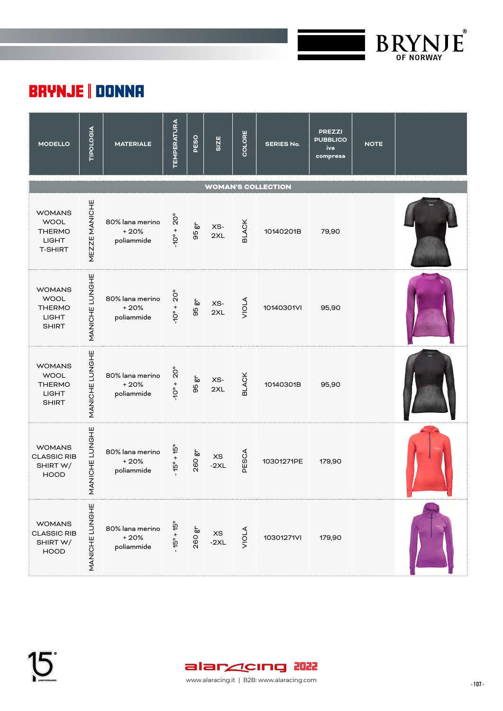

## BRYNJE | DONNA

| <b>MODELLO</b>                                                                  | <b>TIPOLOGIA</b>   | <b>MATERIALE</b>                        | <b>TEMPERATURA</b>                         | PESO     | SIZE                          | COLORE       | <b>SERIES No.</b> | <b>PREZZI</b><br><b>PUBBLICO</b><br>iva<br>compresa | <b>NOTE</b> |  |  |  |
|---------------------------------------------------------------------------------|--------------------|-----------------------------------------|--------------------------------------------|----------|-------------------------------|--------------|-------------------|-----------------------------------------------------|-------------|--|--|--|
| <b>WOMAN'S COLLECTION</b>                                                       |                    |                                         |                                            |          |                               |              |                   |                                                     |             |  |  |  |
| <b>WOMANS</b><br><b>WOOL</b><br><b>THERMO</b><br><b>LIGHT</b><br><b>T-SHIRT</b> | MEZZE MANICHE      | 80% lana merino<br>$+20%$<br>poliammide | $\rm \mathring{\Omega}^{\circ}$<br>$+$ $+$ | 50<br>95 | XS-<br>2XL                    | <b>BLACK</b> | 10140201B         | 79,90                                               |             |  |  |  |
| <b>WOMANS</b><br><b>WOOL</b><br><b>THERMO</b><br><b>LIGHT</b><br><b>SHIRT</b>   | MANICHE LUNGHE     | 80% lana merino<br>$+20%$<br>poliammide | $20^{\circ}$<br>$+ 00 +$                   | 50<br>95 | XS-<br>2XL                    | VIOLA        | 10140301VI        | 95,90                                               |             |  |  |  |
| <b>WOMANS</b><br><b>WOOL</b><br><b>THERMO</b><br><b>LIGHT</b><br><b>SHIRT</b>   | MANICHE LUNGHE     | 80% lana merino<br>$+20%$<br>poliammide | $20^{\circ}$<br>$+ 00 +$                   | έp<br>95 | XS-<br>2XL                    | <b>BLACK</b> | 10140301B         | 95,90                                               |             |  |  |  |
| <b>WOMANS</b><br><b>CLASSIC RIB</b><br>SHIRT W/<br><b>HOOD</b>                  | ANICHE LUNGHE<br>Σ | 80% lana merino<br>$+20%$<br>poliammide | $15^{\circ} + 15^{\circ}$                  | 260 gr   | $\times \mathrm{s}$<br>$-2XL$ | PESCA        | 10301271PE        | 179,90                                              |             |  |  |  |
| <b>WOMANS</b><br><b>CLASSIC RIB</b><br>SHIRT W/<br><b>HOOD</b>                  | MANICHE LUNGHE     | 80% lana merino<br>$+20%$<br>poliammide | $15^{\circ} + 15^{\circ}$                  | 260 gr   | $\times \mathrm{s}$<br>$-2XL$ | <b>VIOLA</b> | 10301271VI        | 179,90                                              |             |  |  |  |